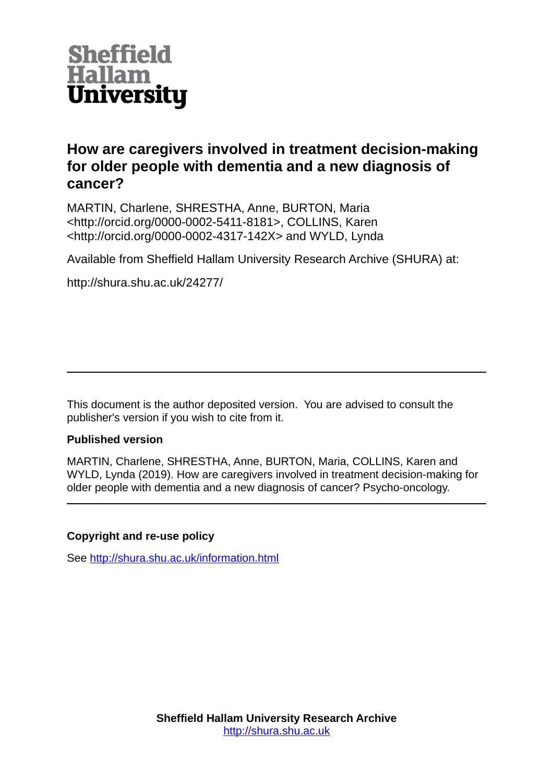

# **How are caregivers involved in treatment decision-making for older people with dementia and a new diagnosis of cancer?**

MARTIN, Charlene, SHRESTHA, Anne, BURTON, Maria <http://orcid.org/0000-0002-5411-8181>, COLLINS, Karen <http://orcid.org/0000-0002-4317-142X> and WYLD, Lynda

Available from Sheffield Hallam University Research Archive (SHURA) at:

http://shura.shu.ac.uk/24277/

This document is the author deposited version. You are advised to consult the publisher's version if you wish to cite from it.

# **Published version**

MARTIN, Charlene, SHRESTHA, Anne, BURTON, Maria, COLLINS, Karen and WYLD, Lynda (2019). How are caregivers involved in treatment decision-making for older people with dementia and a new diagnosis of cancer? Psycho-oncology.

# **Copyright and re-use policy**

See<http://shura.shu.ac.uk/information.html>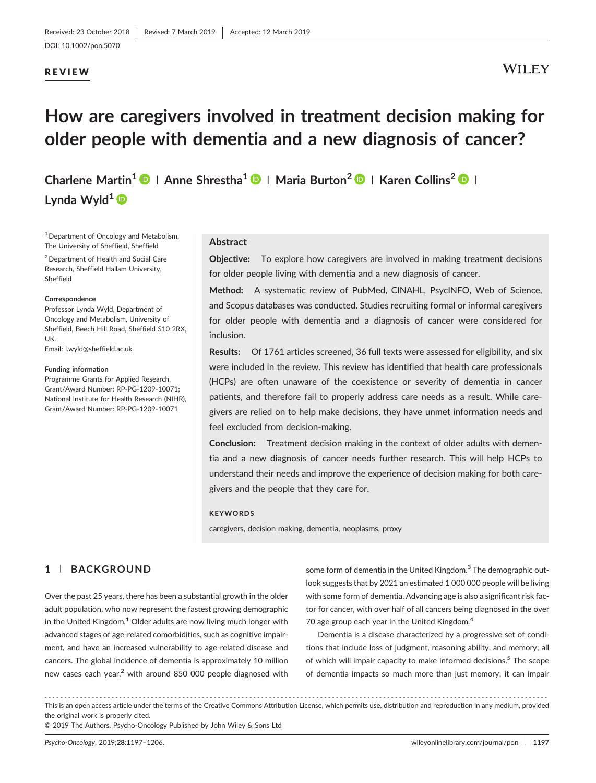# REVIEW

# **WILEY**

# How are caregivers involved in treatment decision making for older people with dementia and a new diagnosis of cancer?

Charlene Martin<sup>1</sup>  $\bigcirc$  | Anne Shrestha<sup>1</sup>  $\bigcirc$  | Maria Burton<sup>2</sup>  $\bigcirc$  | Karen Collins<sup>2</sup>  $\bigcirc$  | Lynda Wyld<sup>1</sup>

<sup>1</sup> Department of Oncology and Metabolism, The University of Sheffield, Sheffield

2Department of Health and Social Care Research, Sheffield Hallam University, Sheffield

#### **Correspondence**

Professor Lynda Wyld, Department of Oncology and Metabolism, University of Sheffield, Beech Hill Road, Sheffield S10 2RX, UK.

Email: l.wyld@sheffield.ac.uk

#### Funding information

Programme Grants for Applied Research, Grant/Award Number: RP‐PG‐1209‐10071; National Institute for Health Research (NIHR), Grant/Award Number: RP‐PG‐1209‐10071

#### Abstract

Objective: To explore how caregivers are involved in making treatment decisions for older people living with dementia and a new diagnosis of cancer.

Method: A systematic review of PubMed, CINAHL, PsycINFO, Web of Science, and Scopus databases was conducted. Studies recruiting formal or informal caregivers for older people with dementia and a diagnosis of cancer were considered for inclusion.

Results: Of 1761 articles screened, 36 full texts were assessed for eligibility, and six were included in the review. This review has identified that health care professionals (HCPs) are often unaware of the coexistence or severity of dementia in cancer patients, and therefore fail to properly address care needs as a result. While caregivers are relied on to help make decisions, they have unmet information needs and feel excluded from decision-making.

Conclusion: Treatment decision making in the context of older adults with dementia and a new diagnosis of cancer needs further research. This will help HCPs to understand their needs and improve the experience of decision making for both caregivers and the people that they care for.

#### **KEYWORDS**

caregivers, decision making, dementia, neoplasms, proxy

## 1 | BACKGROUND

Over the past 25 years, there has been a substantial growth in the older adult population, who now represent the fastest growing demographic in the United Kingdom.<sup>1</sup> Older adults are now living much longer with advanced stages of age‐related comorbidities, such as cognitive impairment, and have an increased vulnerability to age‐related disease and cancers. The global incidence of dementia is approximately 10 million new cases each year,<sup>2</sup> with around 850 000 people diagnosed with

some form of dementia in the United Kingdom.<sup>3</sup> The demographic outlook suggests that by 2021 an estimated 1 000 000 people will be living with some form of dementia. Advancing age is also a significant risk factor for cancer, with over half of all cancers being diagnosed in the over 70 age group each year in the United Kingdom.<sup>4</sup>

Dementia is a disease characterized by a progressive set of conditions that include loss of judgment, reasoning ability, and memory; all of which will impair capacity to make informed decisions.<sup>5</sup> The scope of dementia impacts so much more than just memory; it can impair

------------------------------------------------------------------------------------------------------------------------------- - This is an open access article under the terms of the [Creative Commons Attribution](http://creativecommons.org/licenses/by/4.0/) License, which permits use, distribution and reproduction in any medium, provided the original work is properly cited.

© 2019 The Authors. Psycho-Oncology Published by John Wiley & Sons Ltd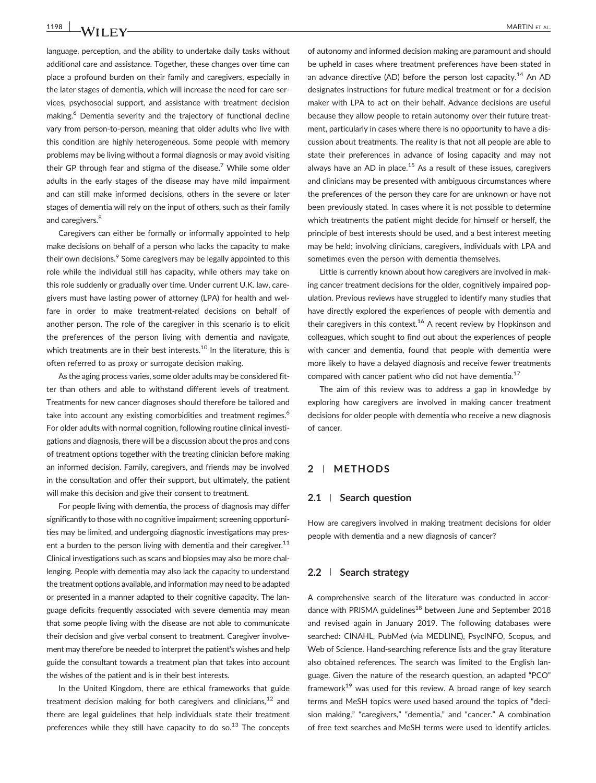language, perception, and the ability to undertake daily tasks without additional care and assistance. Together, these changes over time can place a profound burden on their family and caregivers, especially in the later stages of dementia, which will increase the need for care services, psychosocial support, and assistance with treatment decision making.<sup>6</sup> Dementia severity and the trajectory of functional decline vary from person-to-person, meaning that older adults who live with this condition are highly heterogeneous. Some people with memory problems may be living without a formal diagnosis or may avoid visiting their GP through fear and stigma of the disease.<sup>7</sup> While some older adults in the early stages of the disease may have mild impairment and can still make informed decisions, others in the severe or later stages of dementia will rely on the input of others, such as their family and caregivers.<sup>8</sup>

Caregivers can either be formally or informally appointed to help make decisions on behalf of a person who lacks the capacity to make their own decisions.<sup>9</sup> Some caregivers may be legally appointed to this role while the individual still has capacity, while others may take on this role suddenly or gradually over time. Under current U.K. law, caregivers must have lasting power of attorney (LPA) for health and welfare in order to make treatment‐related decisions on behalf of another person. The role of the caregiver in this scenario is to elicit the preferences of the person living with dementia and navigate, which treatments are in their best interests.<sup>10</sup> In the literature, this is often referred to as proxy or surrogate decision making.

As the aging process varies, some older adults may be considered fitter than others and able to withstand different levels of treatment. Treatments for new cancer diagnoses should therefore be tailored and take into account any existing comorbidities and treatment regimes.<sup>6</sup> For older adults with normal cognition, following routine clinical investigations and diagnosis, there will be a discussion about the pros and cons of treatment options together with the treating clinician before making an informed decision. Family, caregivers, and friends may be involved in the consultation and offer their support, but ultimately, the patient will make this decision and give their consent to treatment.

For people living with dementia, the process of diagnosis may differ significantly to those with no cognitive impairment; screening opportunities may be limited, and undergoing diagnostic investigations may present a burden to the person living with dementia and their caregiver.<sup>11</sup> Clinical investigations such as scans and biopsies may also be more challenging. People with dementia may also lack the capacity to understand the treatment options available, and information may need to be adapted or presented in a manner adapted to their cognitive capacity. The language deficits frequently associated with severe dementia may mean that some people living with the disease are not able to communicate their decision and give verbal consent to treatment. Caregiver involvement may therefore be needed to interpret the patient's wishes and help guide the consultant towards a treatment plan that takes into account the wishes of the patient and is in their best interests.

In the United Kingdom, there are ethical frameworks that guide treatment decision making for both caregivers and clinicians, $12$  and there are legal guidelines that help individuals state their treatment preferences while they still have capacity to do so. $13$  The concepts

of autonomy and informed decision making are paramount and should be upheld in cases where treatment preferences have been stated in an advance directive (AD) before the person lost capacity.<sup>14</sup> An AD designates instructions for future medical treatment or for a decision maker with LPA to act on their behalf. Advance decisions are useful because they allow people to retain autonomy over their future treatment, particularly in cases where there is no opportunity to have a discussion about treatments. The reality is that not all people are able to state their preferences in advance of losing capacity and may not always have an AD in place. $15$  As a result of these issues, caregivers and clinicians may be presented with ambiguous circumstances where the preferences of the person they care for are unknown or have not been previously stated. In cases where it is not possible to determine which treatments the patient might decide for himself or herself, the principle of best interests should be used, and a best interest meeting may be held; involving clinicians, caregivers, individuals with LPA and sometimes even the person with dementia themselves.

Little is currently known about how caregivers are involved in making cancer treatment decisions for the older, cognitively impaired population. Previous reviews have struggled to identify many studies that have directly explored the experiences of people with dementia and their caregivers in this context.<sup>16</sup> A recent review by Hopkinson and colleagues, which sought to find out about the experiences of people with cancer and dementia, found that people with dementia were more likely to have a delayed diagnosis and receive fewer treatments compared with cancer patient who did not have dementia.<sup>17</sup>

The aim of this review was to address a gap in knowledge by exploring how caregivers are involved in making cancer treatment decisions for older people with dementia who receive a new diagnosis of cancer.

#### 2 | METHODS

#### 2.1 | Search question

How are caregivers involved in making treatment decisions for older people with dementia and a new diagnosis of cancer?

#### 2.2 | Search strategy

A comprehensive search of the literature was conducted in accordance with PRISMA guidelines<sup>18</sup> between June and September 2018 and revised again in January 2019. The following databases were searched: CINAHL, PubMed (via MEDLINE), PsycINFO, Scopus, and Web of Science. Hand-searching reference lists and the gray literature also obtained references. The search was limited to the English language. Given the nature of the research question, an adapted "PCO" framework<sup>19</sup> was used for this review. A broad range of key search terms and MeSH topics were used based around the topics of "decision making," "caregivers," "dementia," and "cancer." A combination of free text searches and MeSH terms were used to identify articles.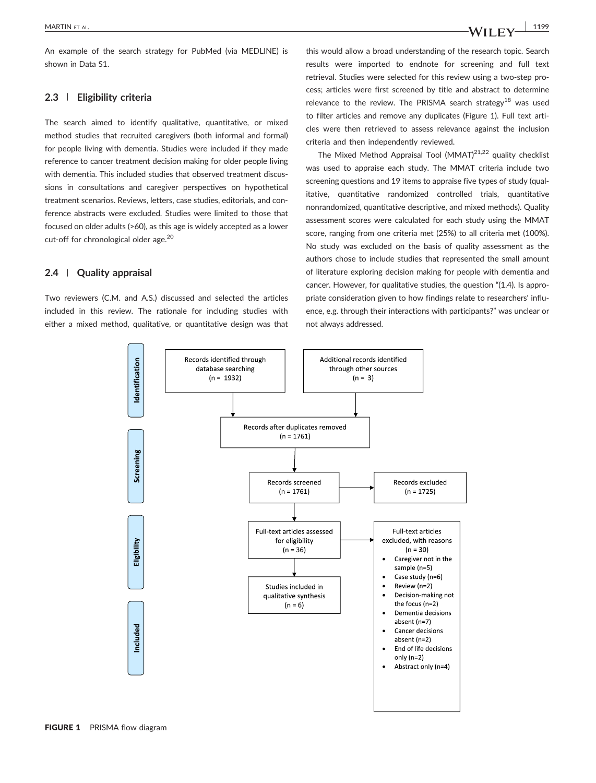An example of the search strategy for PubMed (via MEDLINE) is shown in Data S1.

#### 2.3 | Eligibility criteria

The search aimed to identify qualitative, quantitative, or mixed method studies that recruited caregivers (both informal and formal) for people living with dementia. Studies were included if they made reference to cancer treatment decision making for older people living with dementia. This included studies that observed treatment discussions in consultations and caregiver perspectives on hypothetical treatment scenarios. Reviews, letters, case studies, editorials, and conference abstracts were excluded. Studies were limited to those that focused on older adults (>60), as this age is widely accepted as a lower cut-off for chronological older age.<sup>20</sup>

#### 2.4 | Quality appraisal

Two reviewers (C.M. and A.S.) discussed and selected the articles included in this review. The rationale for including studies with either a mixed method, qualitative, or quantitative design was that this would allow a broad understanding of the research topic. Search results were imported to endnote for screening and full text retrieval. Studies were selected for this review using a two‐step process; articles were first screened by title and abstract to determine relevance to the review. The PRISMA search strategy<sup>18</sup> was used to filter articles and remove any duplicates (Figure 1). Full text articles were then retrieved to assess relevance against the inclusion criteria and then independently reviewed.

The Mixed Method Appraisal Tool  $(MMAT)^{21,22}$  quality checklist was used to appraise each study. The MMAT criteria include two screening questions and 19 items to appraise five types of study (qualitative, quantitative randomized controlled trials, quantitative nonrandomized, quantitative descriptive, and mixed methods). Quality assessment scores were calculated for each study using the MMAT score, ranging from one criteria met (25%) to all criteria met (100%). No study was excluded on the basis of quality assessment as the authors chose to include studies that represented the small amount of literature exploring decision making for people with dementia and cancer. However, for qualitative studies, the question "(1.4). Is appropriate consideration given to how findings relate to researchers' influence, e.g. through their interactions with participants?" was unclear or not always addressed.

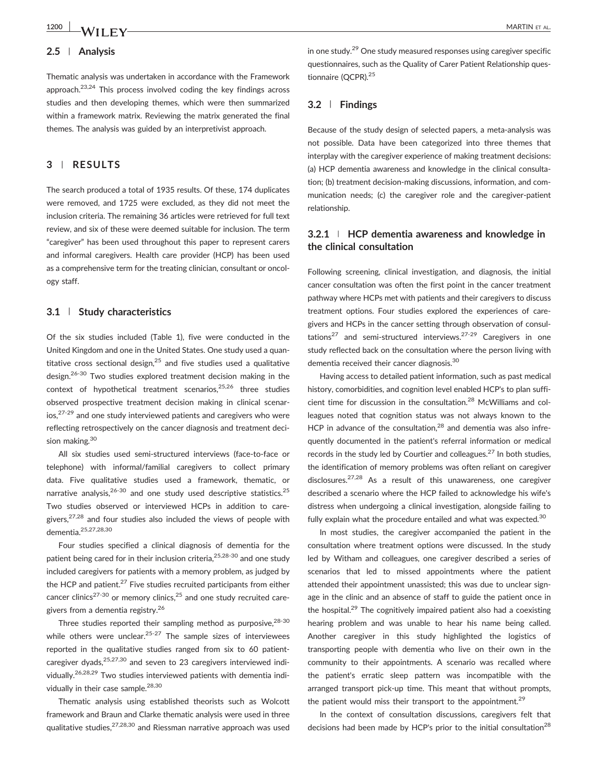#### 2.5 | Analysis

Thematic analysis was undertaken in accordance with the Framework approach.23,24 This process involved coding the key findings across studies and then developing themes, which were then summarized within a framework matrix. Reviewing the matrix generated the final themes. The analysis was guided by an interpretivist approach.

## 3 | RESULTS

The search produced a total of 1935 results. Of these, 174 duplicates were removed, and 1725 were excluded, as they did not meet the inclusion criteria. The remaining 36 articles were retrieved for full text review, and six of these were deemed suitable for inclusion. The term "caregiver" has been used throughout this paper to represent carers and informal caregivers. Health care provider (HCP) has been used as a comprehensive term for the treating clinician, consultant or oncology staff.

#### 3.1 | Study characteristics

Of the six studies included (Table 1), five were conducted in the United Kingdom and one in the United States. One study used a quantitative cross sectional design.<sup>25</sup> and five studies used a qualitative design.26-30 Two studies explored treatment decision making in the context of hypothetical treatment scenarios. $25,26$  three studies observed prospective treatment decision making in clinical scenarios,27-29 and one study interviewed patients and caregivers who were reflecting retrospectively on the cancer diagnosis and treatment decision making.<sup>30</sup>

All six studies used semi‐structured interviews (face‐to‐face or telephone) with informal/familial caregivers to collect primary data. Five qualitative studies used a framework, thematic, or narrative analysis.<sup>26-30</sup> and one study used descriptive statistics.<sup>25</sup> Two studies observed or interviewed HCPs in addition to caregivers, $27,28$  and four studies also included the views of people with dementia.25,27,28,30

Four studies specified a clinical diagnosis of dementia for the patient being cared for in their inclusion criteria,<sup>25,28-30</sup> and one study included caregivers for patients with a memory problem, as judged by the HCP and patient. $27$  Five studies recruited participants from either cancer clinics<sup>27-30</sup> or memory clinics,<sup>25</sup> and one study recruited caregivers from a dementia registry.<sup>26</sup>

Three studies reported their sampling method as purposive, 28-30 while others were unclear. $25-27$  The sample sizes of interviewees reported in the qualitative studies ranged from six to 60 patientcaregiver dyads,  $25,27,30$  and seven to 23 caregivers interviewed individually.26,28,29 Two studies interviewed patients with dementia individually in their case sample.<sup>28,30</sup>

Thematic analysis using established theorists such as Wolcott framework and Braun and Clarke thematic analysis were used in three qualitative studies,27,28,30 and Riessman narrative approach was used

in one study.29 One study measured responses using caregiver specific questionnaires, such as the Quality of Carer Patient Relationship questionnaire (QCPR).<sup>25</sup>

#### 3.2 | Findings

Because of the study design of selected papers, a meta‐analysis was not possible. Data have been categorized into three themes that interplay with the caregiver experience of making treatment decisions: (a) HCP dementia awareness and knowledge in the clinical consultation; (b) treatment decision‐making discussions, information, and communication needs; (c) the caregiver role and the caregiver‐patient relationship.

## 3.2.1 <sup>|</sup> HCP dementia awareness and knowledge in the clinical consultation

Following screening, clinical investigation, and diagnosis, the initial cancer consultation was often the first point in the cancer treatment pathway where HCPs met with patients and their caregivers to discuss treatment options. Four studies explored the experiences of caregivers and HCPs in the cancer setting through observation of consultations<sup>27</sup> and semi-structured interviews.<sup>27-29</sup> Caregivers in one study reflected back on the consultation where the person living with dementia received their cancer diagnosis.30

Having access to detailed patient information, such as past medical history, comorbidities, and cognition level enabled HCP's to plan sufficient time for discussion in the consultation.<sup>28</sup> McWilliams and colleagues noted that cognition status was not always known to the HCP in advance of the consultation, $^{28}$  and dementia was also infrequently documented in the patient's referral information or medical records in the study led by Courtier and colleagues.<sup>27</sup> In both studies, the identification of memory problems was often reliant on caregiver disclosures.27,28 As a result of this unawareness, one caregiver described a scenario where the HCP failed to acknowledge his wife's distress when undergoing a clinical investigation, alongside failing to fully explain what the procedure entailed and what was expected.<sup>30</sup>

In most studies, the caregiver accompanied the patient in the consultation where treatment options were discussed. In the study led by Witham and colleagues, one caregiver described a series of scenarios that led to missed appointments where the patient attended their appointment unassisted; this was due to unclear signage in the clinic and an absence of staff to guide the patient once in the hospital. $29$  The cognitively impaired patient also had a coexisting hearing problem and was unable to hear his name being called. Another caregiver in this study highlighted the logistics of transporting people with dementia who live on their own in the community to their appointments. A scenario was recalled where the patient's erratic sleep pattern was incompatible with the arranged transport pick‐up time. This meant that without prompts, the patient would miss their transport to the appointment.<sup>29</sup>

In the context of consultation discussions, caregivers felt that decisions had been made by HCP's prior to the initial consultation<sup>28</sup>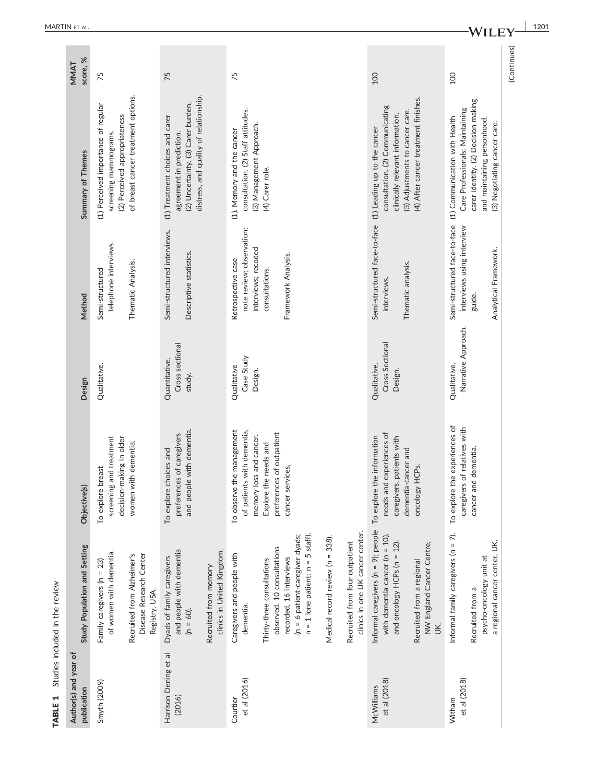| Author(s) and year of<br>publication | Study Population and Setting                                                                               | Objective(s)                                                                          | Design                                     | Method                                                                 | Summary of Themes                                                                                                                           | score, %<br>MMAT |
|--------------------------------------|------------------------------------------------------------------------------------------------------------|---------------------------------------------------------------------------------------|--------------------------------------------|------------------------------------------------------------------------|---------------------------------------------------------------------------------------------------------------------------------------------|------------------|
| Smyth (2009)                         | of women with dementia.<br>Family caregivers (n = 23)                                                      | screening and treatment<br>decision-making in older<br>To explore breast              | Qualitative.                               | telephone interviews.<br>Semi-structured                               | (1) Perceived importance of regular<br>(2) Perceived appropriateness<br>screening mammograms.                                               | 75               |
|                                      | Disease Research Center<br>Recruited from Alzheimer's<br>Registry, USA.                                    | with dementia.<br>women                                                               |                                            | Thematic Analysis.                                                     | of breast cancer treatment options.                                                                                                         |                  |
| Harrison Dening et al<br>(2016)      | and people with dementia<br>Dyads of family caregivers<br>$(n = 60)$ .                                     | and people with dementia.<br>preferences of caregivers<br>To explore choices and      | Cross sectional<br>Quantitative.<br>study. | Semi-structured interviews.<br>Descriptive statistics.                 | distress, and quality of relationship.<br>(2) Uncertainty. (3) Carer burden,<br>(1) Treatment choices and carer<br>agreement in prediction. | 75               |
|                                      | clinics in United Kingdom.<br>Recruited from memory                                                        |                                                                                       |                                            |                                                                        |                                                                                                                                             |                  |
| et al (2016)<br>Courtier             | Caregivers and people with<br>dementia.                                                                    | To observe the management<br>of patients with dementia,<br>loss and cancer.<br>memory | Case Study<br>Qualitative<br>Design.       | note review; observation;<br>interviews; recoded<br>Retrospective case | consultation. (2) Staff attitudes.<br>(3) Management Approach.<br>(1). Memory and the cancer                                                | 75               |
|                                      | observed. 10 consultations<br>Thirty-three consultations                                                   | preferences of outpatient<br>Explore the needs and                                    |                                            | consultations.                                                         | (4) Carer role.                                                                                                                             |                  |
|                                      | $n = 1$ lone patient; $n = 5$ staff).<br>(n = 6 patient-caregiver dyads;<br>recorded, 16 interviews        | cancer services,                                                                      |                                            | Framework Analysis.                                                    |                                                                                                                                             |                  |
|                                      | Medical record review (n = 338).                                                                           |                                                                                       |                                            |                                                                        |                                                                                                                                             |                  |
|                                      | clinics in one UK cancer center.<br>Recruited from four outpatient                                         |                                                                                       |                                            |                                                                        |                                                                                                                                             |                  |
| et al (2018)<br>McWilliams           | Informal caregivers ( $n = 9$ ); people<br>with dementia-cancer (n = 10),<br>and oncology $HCPs$ (n = 12). | needs and experiences of<br>To explore the information<br>caregivers, patients with   | Cross Sectional<br>Qualitative.<br>Design. | Semi-structured face-to-face<br>Thematic analysis.<br>interviews.      | consultation. (2) Communicating<br>(3) Adjustments to cancer care.<br>clinically relevant information.<br>(1) Leading up to the cancer      | 100              |
|                                      | NW England Cancer Centre,<br>Recruited from a regional<br>Š                                                | dementia-cancer and<br>oncology HCPs.                                                 |                                            |                                                                        | (4) After cancer treatment finishes.                                                                                                        |                  |
| et al (2018)<br>Witham               | Informal family caregivers ( $n = 7$ ).                                                                    | To explore the experiences of<br>caregivers of relatives with                         | Narrative Approach.<br>Qualitative.        | Semi-structured face-to-face<br>interviews using interview             | Care Professionals: Maintaining<br>(1) Communication with Health                                                                            | 100              |
|                                      | a regional cancer center, UK.<br>psycho-oncology unit at<br>Recruited from a                               | cancer and dementia.                                                                  |                                            | Analytical Framework.<br>guide.                                        | carer identity. (2) Decision making<br>and maintaining personhood.<br>(3) Negotiating cancer care.                                          |                  |
|                                      |                                                                                                            |                                                                                       |                                            |                                                                        |                                                                                                                                             | (Continues)      |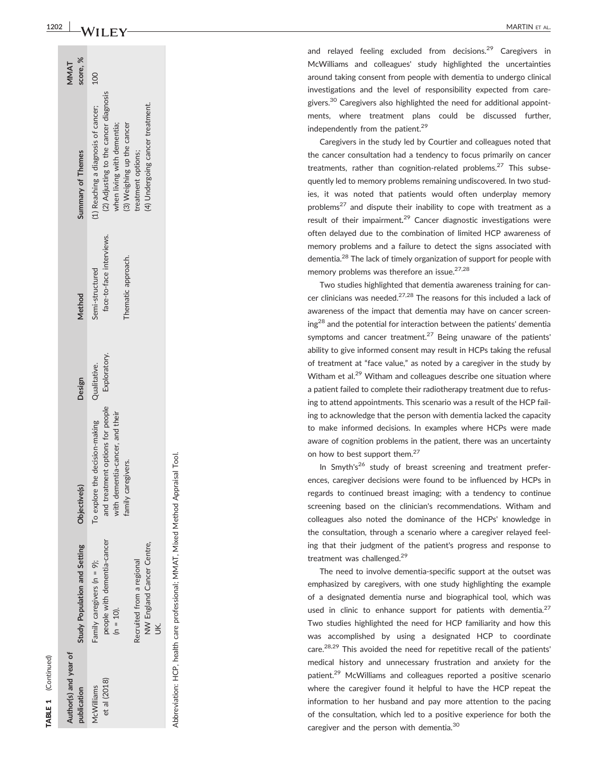| i |
|---|

ਰ

| Author(s) and year of<br>publication | itudy Population and Setting                                                                                                       | Objective(s)                                                                                                                             | Design       | Method                                                            | Summary of Themes                                                                                                                                                                                  | score, %<br>MMAT |
|--------------------------------------|------------------------------------------------------------------------------------------------------------------------------------|------------------------------------------------------------------------------------------------------------------------------------------|--------------|-------------------------------------------------------------------|----------------------------------------------------------------------------------------------------------------------------------------------------------------------------------------------------|------------------|
| et al (2018)<br>McWilliams           | people with dementia-cancer<br>NW England Cancer Centre,<br>Recruited from a regional<br>Family caregivers (n = 9);<br>$(n = 10).$ | and treatment options for people Exploratory.<br>To explore the decision-making<br>with dementia-cancer, and their<br>family caregivers. | Qualitative. | face-to-face interviews.<br>Thematic approach.<br>Semi-structured | (2) Adjusting to the cancer diagnosis<br>(1) Reaching a diagnosis of cancer;<br>(4) Undergoing cancer treatment.<br>(3) Weighing up the cancer<br>when living with dementia;<br>treatment options; | <b>DOI</b>       |

Abbreviation: HCP, health care professional; MMAT, Mixed Method Appraisal Tool. Abbreviation: HCP, health care professional; MMAT, Mixed Method Appraisal Tool.

1202 MARTIN ET ALLEN TRACK THE STATE STATE STATE STATE STATE STATE STATE STATE STATE STATE STATE STATE STATE STATE STATE STATE STATE STATE STATE STATE STATE STATE STATE STATE STATE STATE STATE STATE STATE STATE STATE STATE MARTIN ET AL

> and relayed feeling excluded from decisions.<sup>29</sup> Caregivers in McWilliams and colleagues' study highlighted the uncertainties around taking consent from people with dementia to undergo clinical investigations and the level of responsibility expected from caregivers.<sup>30</sup> Caregivers also highlighted the need for additional appointments, where treatment plans could be discussed further, independently from the patient.<sup>29</sup>

> Caregivers in the study led by Courtier and colleagues noted that the cancer consultation had a tendency to focus primarily on cancer treatments, rather than cognition-related problems.<sup>27</sup> This subsequently led to memory problems remaining undiscovered. In two studies, it was noted that patients would often underplay memory problems<sup>27</sup> and dispute their inability to cope with treatment as a result of their impairment.<sup>29</sup> Cancer diagnostic investigations were often delayed due to the combination of limited HCP awareness of memory problems and a failure to detect the signs associated with dementia.<sup>28</sup> The lack of timely organization of support for people with memory problems was therefore an issue.<sup>27,28</sup>

> Two studies highlighted that dementia awareness training for cancer clinicians was needed.<sup>27,28</sup> The reasons for this included a lack of awareness of the impact that dementia may have on cancer screening<sup>28</sup> and the potential for interaction between the patients' dementia symptoms and cancer treatment.<sup>27</sup> Being unaware of the patients' ability to give informed consent may result in HCPs taking the refusal of treatment at "face value, " as noted by a caregiver in the study by Witham et al.<sup>29</sup> Witham and colleagues describe one situation where a patient failed to complete their radiotherapy treatment due to refusing to attend appointments. This scenario was a result of the HCP failing to acknowledge that the person with dementia lacked the capacity to make informed decisions. In examples where HCPs were made aware of cognition problems in the patient, there was an uncertainty on how to best support them.<sup>27</sup>

> In Smyth's<sup>26</sup> study of breast screening and treatment preferences, caregiver decisions were found to be influenced by HCPs in regards to continued breast imaging; with a tendency to continue screening based on the clinician's recommendations. Witham and colleagues also noted the dominance of the HCPs' knowledge in the consultation, through a scenario where a caregiver relayed feeling that their judgment of the patient's progress and response to treatment was challenged.<sup>29</sup>

> The need to involve dementia-specific support at the outset was emphasized by caregivers, with one study highlighting the example of a designated dementia nurse and biographical tool, which was used in clinic to enhance support for patients with dementia. $27$ Two studies highlighted the need for HCP familiarity and how this was accomplished by using a designated HCP to coordinate care.<sup>28,29</sup> This avoided the need for repetitive recall of the patients' medical history and unnecessary frustration and anxiety for the patient.29 McWilliams and colleagues reported a positive scenario where the caregiver found it helpful to have the HCP repeat the information to her husband and pay more attention to the pacing of the consultation, which led to a positive experience for both the caregiver and the person with dementia.<sup>30</sup>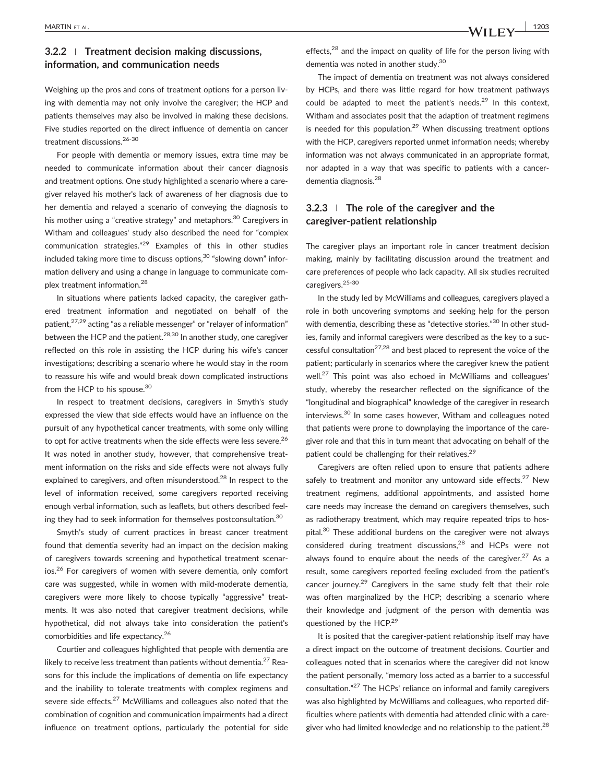# 3.2.2 <sup>|</sup> Treatment decision making discussions, information, and communication needs

Weighing up the pros and cons of treatment options for a person living with dementia may not only involve the caregiver; the HCP and patients themselves may also be involved in making these decisions. Five studies reported on the direct influence of dementia on cancer treatment discussions.<sup>26-30</sup>

For people with dementia or memory issues, extra time may be needed to communicate information about their cancer diagnosis and treatment options. One study highlighted a scenario where a caregiver relayed his mother's lack of awareness of her diagnosis due to her dementia and relayed a scenario of conveying the diagnosis to his mother using a "creative strategy" and metaphors.<sup>30</sup> Caregivers in Witham and colleagues' study also described the need for "complex communication strategies." <sup>29</sup> Examples of this in other studies included taking more time to discuss options, $30$  "slowing down" information delivery and using a change in language to communicate complex treatment information.<sup>28</sup>

In situations where patients lacked capacity, the caregiver gathered treatment information and negotiated on behalf of the patient.<sup>27,29</sup> acting "as a reliable messenger" or "relayer of information" between the HCP and the patient.<sup>28,30</sup> In another study, one caregiver reflected on this role in assisting the HCP during his wife's cancer investigations; describing a scenario where he would stay in the room to reassure his wife and would break down complicated instructions from the HCP to his spouse.<sup>30</sup>

In respect to treatment decisions, caregivers in Smyth's study expressed the view that side effects would have an influence on the pursuit of any hypothetical cancer treatments, with some only willing to opt for active treatments when the side effects were less severe.<sup>26</sup> It was noted in another study, however, that comprehensive treatment information on the risks and side effects were not always fully explained to caregivers, and often misunderstood.<sup>28</sup> In respect to the level of information received, some caregivers reported receiving enough verbal information, such as leaflets, but others described feeling they had to seek information for themselves postconsultation.30

Smyth's study of current practices in breast cancer treatment found that dementia severity had an impact on the decision making of caregivers towards screening and hypothetical treatment scenarios.<sup>26</sup> For caregivers of women with severe dementia, only comfort care was suggested, while in women with mild‐moderate dementia, caregivers were more likely to choose typically "aggressive" treatments. It was also noted that caregiver treatment decisions, while hypothetical, did not always take into consideration the patient's comorbidities and life expectancy.26

Courtier and colleagues highlighted that people with dementia are likely to receive less treatment than patients without dementia.<sup>27</sup> Reasons for this include the implications of dementia on life expectancy and the inability to tolerate treatments with complex regimens and severe side effects.<sup>27</sup> McWilliams and colleagues also noted that the combination of cognition and communication impairments had a direct influence on treatment options, particularly the potential for side effects,<sup>28</sup> and the impact on quality of life for the person living with dementia was noted in another study.<sup>30</sup>

The impact of dementia on treatment was not always considered by HCPs, and there was little regard for how treatment pathways could be adapted to meet the patient's needs.<sup>29</sup> In this context, Witham and associates posit that the adaption of treatment regimens is needed for this population. $29$  When discussing treatment options with the HCP, caregivers reported unmet information needs; whereby information was not always communicated in an appropriate format, nor adapted in a way that was specific to patients with a cancer‐ dementia diagnosis.28

## $3.2.3$  | The role of the caregiver and the caregiver‐patient relationship

The caregiver plays an important role in cancer treatment decision making, mainly by facilitating discussion around the treatment and care preferences of people who lack capacity. All six studies recruited caregivers.25-30

In the study led by McWilliams and colleagues, caregivers played a role in both uncovering symptoms and seeking help for the person with dementia, describing these as "detective stories."<sup>30</sup> In other studies, family and informal caregivers were described as the key to a successful consultation<sup>27,28</sup> and best placed to represent the voice of the patient; particularly in scenarios where the caregiver knew the patient well.<sup>27</sup> This point was also echoed in McWilliams and colleagues' study, whereby the researcher reflected on the significance of the "longitudinal and biographical" knowledge of the caregiver in research interviews.<sup>30</sup> In some cases however, Witham and colleagues noted that patients were prone to downplaying the importance of the caregiver role and that this in turn meant that advocating on behalf of the patient could be challenging for their relatives.<sup>29</sup>

Caregivers are often relied upon to ensure that patients adhere safely to treatment and monitor any untoward side effects. $27$  New treatment regimens, additional appointments, and assisted home care needs may increase the demand on caregivers themselves, such as radiotherapy treatment, which may require repeated trips to hospital.<sup>30</sup> These additional burdens on the caregiver were not always considered during treatment discussions,<sup>28</sup> and HCPs were not always found to enquire about the needs of the caregiver.<sup>27</sup> As a result, some caregivers reported feeling excluded from the patient's cancer journey.<sup>29</sup> Caregivers in the same study felt that their role was often marginalized by the HCP; describing a scenario where their knowledge and judgment of the person with dementia was questioned by the HCP.<sup>29</sup>

It is posited that the caregiver-patient relationship itself may have a direct impact on the outcome of treatment decisions. Courtier and colleagues noted that in scenarios where the caregiver did not know the patient personally, "memory loss acted as a barrier to a successful consultation." <sup>27</sup> The HCPs' reliance on informal and family caregivers was also highlighted by McWilliams and colleagues, who reported difficulties where patients with dementia had attended clinic with a caregiver who had limited knowledge and no relationship to the patient. $^{28}$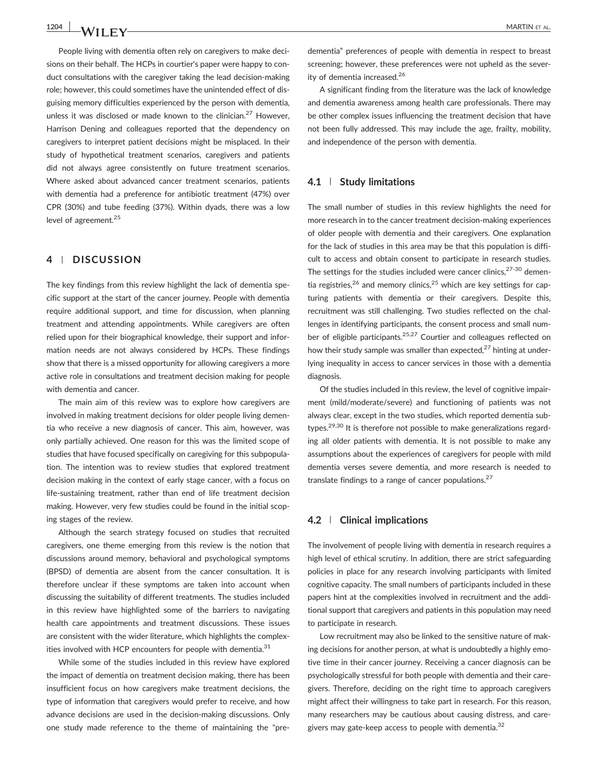People living with dementia often rely on caregivers to make decisions on their behalf. The HCPs in courtier's paper were happy to conduct consultations with the caregiver taking the lead decision‐making role; however, this could sometimes have the unintended effect of disguising memory difficulties experienced by the person with dementia, unless it was disclosed or made known to the clinician.<sup>27</sup> However, Harrison Dening and colleagues reported that the dependency on caregivers to interpret patient decisions might be misplaced. In their study of hypothetical treatment scenarios, caregivers and patients did not always agree consistently on future treatment scenarios. Where asked about advanced cancer treatment scenarios, patients with dementia had a preference for antibiotic treatment (47%) over CPR (30%) and tube feeding (37%). Within dyads, there was a low level of agreement.<sup>25</sup>

### 4 | DISCUSSION

The key findings from this review highlight the lack of dementia specific support at the start of the cancer journey. People with dementia require additional support, and time for discussion, when planning treatment and attending appointments. While caregivers are often relied upon for their biographical knowledge, their support and information needs are not always considered by HCPs. These findings show that there is a missed opportunity for allowing caregivers a more active role in consultations and treatment decision making for people with dementia and cancer.

The main aim of this review was to explore how caregivers are involved in making treatment decisions for older people living dementia who receive a new diagnosis of cancer. This aim, however, was only partially achieved. One reason for this was the limited scope of studies that have focused specifically on caregiving for this subpopulation. The intention was to review studies that explored treatment decision making in the context of early stage cancer, with a focus on life‐sustaining treatment, rather than end of life treatment decision making. However, very few studies could be found in the initial scoping stages of the review.

Although the search strategy focused on studies that recruited caregivers, one theme emerging from this review is the notion that discussions around memory, behavioral and psychological symptoms (BPSD) of dementia are absent from the cancer consultation. It is therefore unclear if these symptoms are taken into account when discussing the suitability of different treatments. The studies included in this review have highlighted some of the barriers to navigating health care appointments and treatment discussions. These issues are consistent with the wider literature, which highlights the complexities involved with HCP encounters for people with dementia. $31$ 

While some of the studies included in this review have explored the impact of dementia on treatment decision making, there has been insufficient focus on how caregivers make treatment decisions, the type of information that caregivers would prefer to receive, and how advance decisions are used in the decision‐making discussions. Only one study made reference to the theme of maintaining the "pre‐

dementia" preferences of people with dementia in respect to breast screening; however, these preferences were not upheld as the severity of dementia increased.<sup>26</sup>

A significant finding from the literature was the lack of knowledge and dementia awareness among health care professionals. There may be other complex issues influencing the treatment decision that have not been fully addressed. This may include the age, frailty, mobility, and independence of the person with dementia.

#### 4.1 | Study limitations

The small number of studies in this review highlights the need for more research in to the cancer treatment decision‐making experiences of older people with dementia and their caregivers. One explanation for the lack of studies in this area may be that this population is difficult to access and obtain consent to participate in research studies. The settings for the studies included were cancer clinics,  $27-30$  dementia registries,<sup>26</sup> and memory clinics,<sup>25</sup> which are key settings for capturing patients with dementia or their caregivers. Despite this, recruitment was still challenging. Two studies reflected on the challenges in identifying participants, the consent process and small number of eligible participants.<sup>25,27</sup> Courtier and colleagues reflected on how their study sample was smaller than expected, $27$  hinting at underlying inequality in access to cancer services in those with a dementia diagnosis.

Of the studies included in this review, the level of cognitive impairment (mild/moderate/severe) and functioning of patients was not always clear, except in the two studies, which reported dementia subtypes.<sup>29,30</sup> It is therefore not possible to make generalizations regarding all older patients with dementia. It is not possible to make any assumptions about the experiences of caregivers for people with mild dementia verses severe dementia, and more research is needed to translate findings to a range of cancer populations. $27$ 

#### 4.2 | Clinical implications

The involvement of people living with dementia in research requires a high level of ethical scrutiny. In addition, there are strict safeguarding policies in place for any research involving participants with limited cognitive capacity. The small numbers of participants included in these papers hint at the complexities involved in recruitment and the additional support that caregivers and patients in this population may need to participate in research.

Low recruitment may also be linked to the sensitive nature of making decisions for another person, at what is undoubtedly a highly emotive time in their cancer journey. Receiving a cancer diagnosis can be psychologically stressful for both people with dementia and their caregivers. Therefore, deciding on the right time to approach caregivers might affect their willingness to take part in research. For this reason, many researchers may be cautious about causing distress, and caregivers may gate-keep access to people with dementia.<sup>32</sup>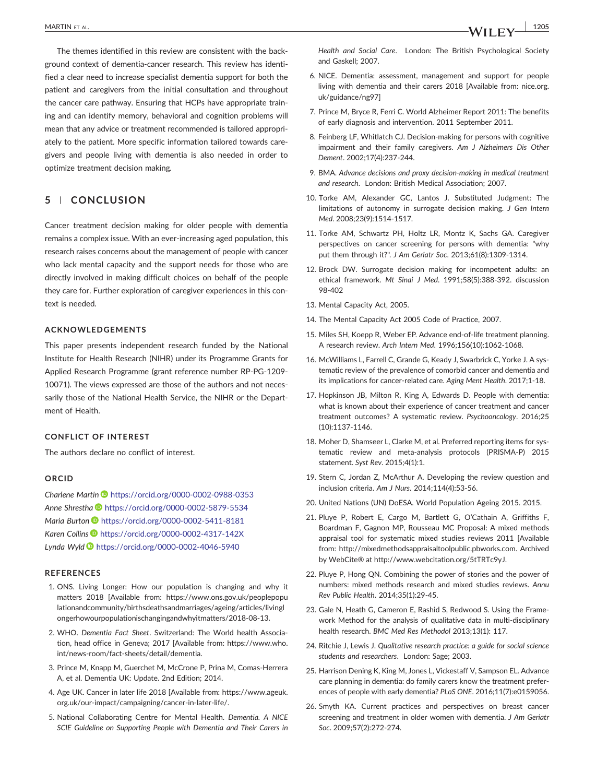The themes identified in this review are consistent with the background context of dementia‐cancer research. This review has identified a clear need to increase specialist dementia support for both the patient and caregivers from the initial consultation and throughout the cancer care pathway. Ensuring that HCPs have appropriate training and can identify memory, behavioral and cognition problems will mean that any advice or treatment recommended is tailored appropriately to the patient. More specific information tailored towards caregivers and people living with dementia is also needed in order to optimize treatment decision making.

## 5 | CONCLUSION

Cancer treatment decision making for older people with dementia remains a complex issue. With an ever‐increasing aged population, this research raises concerns about the management of people with cancer who lack mental capacity and the support needs for those who are directly involved in making difficult choices on behalf of the people they care for. Further exploration of caregiver experiences in this context is needed.

#### ACKNOWLEDGEMENTS

This paper presents independent research funded by the National Institute for Health Research (NIHR) under its Programme Grants for Applied Research Programme (grant reference number RP‐PG‐1209‐ 10071). The views expressed are those of the authors and not necessarily those of the National Health Service, the NIHR or the Department of Health.

#### CONFLICT OF INTEREST

The authors declare no conflict of interest.

#### ORCID

Charlene Martin <https://orcid.org/0000-0002-0988-0353> Anne Shrestha <https://orcid.org/0000-0002-5879-5534> Maria Burton D<https://orcid.org/0000-0002-5411-8181> Karen Collins <https://orcid.org/0000-0002-4317-142X> Lynda Wyld <https://orcid.org/0000-0002-4046-5940>

#### **REFERENCES**

- 1. ONS. Living Longer: How our population is changing and why it matters 2018 [Available from: [https://www.ons.gov.uk/peoplepopu](https://www.ons.gov.uk/peoplepopulationandcommunity/birthsdeathsandmarriages/ageing/articles/livinglongerhowourpopulationischangingandwhyitmatters/2018-08-13) [lationandcommunity/birthsdeathsandmarriages/ageing/articles/livingl](https://www.ons.gov.uk/peoplepopulationandcommunity/birthsdeathsandmarriages/ageing/articles/livinglongerhowourpopulationischangingandwhyitmatters/2018-08-13) [ongerhowourpopulationischangingandwhyitmatters/2018](https://www.ons.gov.uk/peoplepopulationandcommunity/birthsdeathsandmarriages/ageing/articles/livinglongerhowourpopulationischangingandwhyitmatters/2018-08-13)‐08‐13.
- 2. WHO. Dementia Fact Sheet. Switzerland: The World health Association, head office in Geneva; 2017 [Available from: [https://www.who.](https://www.who.int/news-room/fact-sheets/detail/dementia) int/news‐room/fact‐[sheets/detail/dementia.](https://www.who.int/news-room/fact-sheets/detail/dementia)
- 3. Prince M, Knapp M, Guerchet M, McCrone P, Prina M, Comas‐Herrera A, et al. Dementia UK: Update. 2nd Edition; 2014.
- 4. Age UK. Cancer in later life 2018 [Available from: [https://www.ageuk.](https://www.ageuk.org.uk/our-impact/campaigning/cancer-in-later-life/) org.uk/our‐[impact/campaigning/cancer](https://www.ageuk.org.uk/our-impact/campaigning/cancer-in-later-life/)‐in‐later‐life/.
- 5. National Collaborating Centre for Mental Health. Dementia. A NICE SCIE Guideline on Supporting People with Dementia and Their Carers in

Health and Social Care. London: The British Psychological Society and Gaskell; 2007.

- 6. NICE. Dementia: assessment, management and support for people living with dementia and their carers 2018 [Available from: [nice.org.](http://nice.org.uk/guidance/ng97) [uk/guidance/ng97](http://nice.org.uk/guidance/ng97)]
- 7. Prince M, Bryce R, Ferri C. World Alzheimer Report 2011: The benefits of early diagnosis and intervention. 2011 September 2011.
- 8. Feinberg LF, Whitlatch CJ. Decision‐making for persons with cognitive impairment and their family caregivers. Am J Alzheimers Dis Other Dement. 2002;17(4):237‐244.
- 9. BMA. Advance decisions and proxy decision‐making in medical treatment and research. London: British Medical Association; 2007.
- 10. Torke AM, Alexander GC, Lantos J. Substituted Judgment: The limitations of autonomy in surrogate decision making. J Gen Intern Med. 2008;23(9):1514‐1517.
- 11. Torke AM, Schwartz PH, Holtz LR, Montz K, Sachs GA. Caregiver perspectives on cancer screening for persons with dementia: "why put them through it?". J Am Geriatr Soc. 2013;61(8):1309‐1314.
- 12. Brock DW. Surrogate decision making for incompetent adults: an ethical framework. Mt Sinai J Med. 1991;58(5):388‐392. discussion 98‐402
- 13. Mental Capacity Act, 2005.
- 14. The Mental Capacity Act 2005 Code of Practice, 2007.
- 15. Miles SH, Koepp R, Weber EP. Advance end‐of‐life treatment planning. A research review. Arch Intern Med. 1996;156(10):1062‐1068.
- 16. McWilliams L, Farrell C, Grande G, Keady J, Swarbrick C, Yorke J. A systematic review of the prevalence of comorbid cancer and dementia and its implications for cancer‐related care. Aging Ment Health. 2017;1‐18.
- 17. Hopkinson JB, Milton R, King A, Edwards D. People with dementia: what is known about their experience of cancer treatment and cancer treatment outcomes? A systematic review. Psychooncology. 2016;25 (10):1137‐1146.
- 18. Moher D, Shamseer L, Clarke M, et al. Preferred reporting items for systematic review and meta‐analysis protocols (PRISMA‐P) 2015 statement. Syst Rev. 2015;4(1):1.
- 19. Stern C, Jordan Z, McArthur A. Developing the review question and inclusion criteria. Am J Nurs. 2014;114(4):53‐56.
- 20. United Nations (UN) DoESA. World Population Ageing 2015. 2015.
- 21. Pluye P, Robert E, Cargo M, Bartlett G, O'Cathain A, Griffiths F, Boardman F, Gagnon MP, Rousseau MC Proposal: A mixed methods appraisal tool for systematic mixed studies reviews 2011 [Available from:<http://mixedmethodsappraisaltoolpublic.pbworks.com>. Archived by WebCite® at [http://www.webcitation.org/5tTRTc9yJ.](http://www.webcitation.org/5tTRTc9yJ)
- 22. Pluye P, Hong QN. Combining the power of stories and the power of numbers: mixed methods research and mixed studies reviews. Annu Rev Public Health. 2014;35(1):29‐45.
- 23. Gale N, Heath G, Cameron E, Rashid S, Redwood S. Using the Framework Method for the analysis of qualitative data in multi-disciplinary health research. BMC Med Res Methodol 2013;13(1): 117.
- 24. Ritchie J, Lewis J. Qualitative research practice: a guide for social science students and researchers. London: Sage; 2003.
- 25. Harrison Dening K, King M, Jones L, Vickestaff V, Sampson EL. Advance care planning in dementia: do family carers know the treatment preferences of people with early dementia? PLoS ONE. 2016;11(7):e0159056.
- 26. Smyth KA. Current practices and perspectives on breast cancer screening and treatment in older women with dementia. J Am Geriatr Soc. 2009;57(2):272‐274.